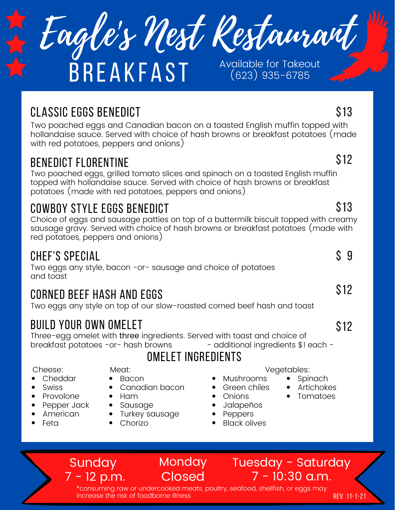

# **BREAKFAST** Available for Takeout

(623) 935-6785

## classic eggs Benedict

Two poached eggs and Canadian bacon on a toasted English muffin topped with hollandaise sauce. Served with choice of hash browns or breakfast potatoes (made with red potatoes, peppers and onions)

## benedict Florentine

Two poached eggs, grilled tomato slices and spinach on a toasted English muffin topped with hollandaise sauce. Served with choice of hash browns or breakfast potatoes (made with red potatoes, peppers and onions)

## Cowboy style eggs Benedict

Choice of eggs and sausage patties on top of a buttermilk biscuit topped with creamy sausage gravy. Served with choice of hash browns or breakfast potatoes (made with red potatoes, peppers and onions)

### Chef's special

Two eggs any style, bacon -or- sausage and choice of potatoes and toast

## corned beef hash and eggs

Two eggs any style on top of our slow-roasted corned beef hash and toast

## build your own omelet

**Sunday** 

7 - 12 p.m.

Three-egg omelet with three ingredients. Served with toast and choice of breakfast potatoes -or- hash browns - additional ingredients \$1 each -

## omelet ingredients

Cheese:

- Cheddar
- Swiss
- Provolone
- Pepper Jack
- American
- Feta

• Bacon Canadian bacon

Meat:

- $\bullet$  Ham
- Sausage
- Turkey sausage
	- Chorizo

Vegetables:

- **Spinach**  $\bullet$ 
	- Artichokes
- Tomatoes
- Jalapeños
- **Peppers**
- Black olives

Mushrooms Green chiles Onions

> Tuesday - Saturday 7 - 10:30 a.m.

\*consuming raw or undercooked meats, poultry, seafood, shellfish, or eggs may increase the risk of foodborne illness Rev. 11-1-21

**Monday** 

**Closed** 

\$12

\$13

## \$13

#### $$9$

\$12

\$12